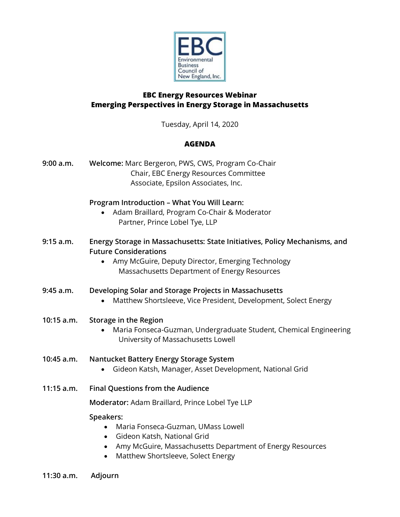

# **EBC Energy Resources Webinar Emerging Perspectives in Energy Storage in Massachusetts**

Tuesday, April 14, 2020

## **AGENDA**

| 9:00 a.m.    | Welcome: Marc Bergeron, PWS, CWS, Program Co-Chair<br>Chair, EBC Energy Resources Committee<br>Associate, Epsilon Associates, Inc.                                                                                       |
|--------------|--------------------------------------------------------------------------------------------------------------------------------------------------------------------------------------------------------------------------|
|              | Program Introduction - What You Will Learn:<br>Adam Braillard, Program Co-Chair & Moderator<br>Partner, Prince Lobel Tye, LLP                                                                                            |
| 9:15 a.m.    | Energy Storage in Massachusetts: State Initiatives, Policy Mechanisms, and<br><b>Future Considerations</b><br>Amy McGuire, Deputy Director, Emerging Technology<br>Massachusetts Department of Energy Resources          |
| 9:45 a.m.    | Developing Solar and Storage Projects in Massachusetts<br>Matthew Shortsleeve, Vice President, Development, Solect Energy                                                                                                |
| 10:15 a.m.   | Storage in the Region<br>Maria Fonseca-Guzman, Undergraduate Student, Chemical Engineering<br>University of Massachusetts Lowell                                                                                         |
| 10:45 a.m.   | Nantucket Battery Energy Storage System<br>Gideon Katsh, Manager, Asset Development, National Grid<br>$\bullet$                                                                                                          |
| $11:15$ a.m. | <b>Final Questions from the Audience</b>                                                                                                                                                                                 |
|              | Moderator: Adam Braillard, Prince Lobel Tye LLP                                                                                                                                                                          |
|              | Speakers:<br>Maria Fonseca-Guzman, UMass Lowell<br>Gideon Katsh, National Grid<br>$\bullet$<br>Amy McGuire, Massachusetts Department of Energy Resources<br>$\bullet$<br>Matthew Shortsleeve, Solect Energy<br>$\bullet$ |

**11:30 a.m. Adjourn**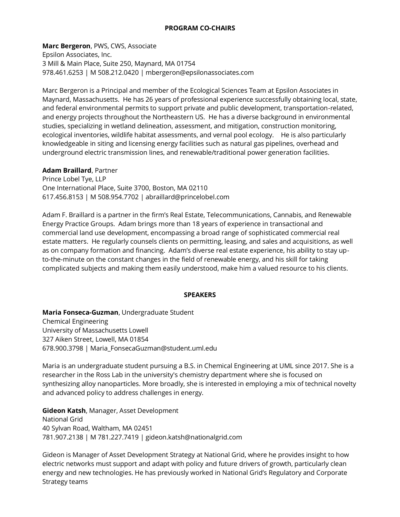#### **PROGRAM CO-CHAIRS**

**Marc Bergeron**, PWS, CWS, Associate Epsilon Associates, Inc. 3 Mill & Main Place, Suite 250, Maynard, MA 01754 978.461.6253 | M 508.212.0420 | mbergeron@epsilonassociates.com

Marc Bergeron is a Principal and member of the Ecological Sciences Team at Epsilon Associates in Maynard, Massachusetts. He has 26 years of professional experience successfully obtaining local, state, and federal environmental permits to support private and public development, transportation-related, and energy projects throughout the Northeastern US. He has a diverse background in environmental studies, specializing in wetland delineation, assessment, and mitigation, construction monitoring, ecological inventories, wildlife habitat assessments, and vernal pool ecology. He is also particularly knowledgeable in siting and licensing energy facilities such as natural gas pipelines, overhead and underground electric transmission lines, and renewable/traditional power generation facilities.

#### **Adam Braillard**, Partner

Prince Lobel Tye, LLP One International Place, Suite 3700, Boston, MA 02110 617.456.8153 | M 508.954.7702 | abraillard@princelobel.com

Adam F. Braillard is a partner in the firm's Real Estate, Telecommunications, Cannabis, and Renewable Energy Practice Groups. Adam brings more than 18 years of experience in transactional and commercial land use development, encompassing a broad range of sophisticated commercial real estate matters. He regularly counsels clients on permitting, leasing, and sales and acquisitions, as well as on company formation and financing. Adam's diverse real estate experience, his ability to stay upto-the-minute on the constant changes in the field of renewable energy, and his skill for taking complicated subjects and making them easily understood, make him a valued resource to his clients.

#### **SPEAKERS**

**Maria Fonseca-Guzman**, Undergraduate Student Chemical Engineering University of Massachusetts Lowell 327 Aiken Street, Lowell, MA 01854 678.900.3798 | Maria\_FonsecaGuzman@student.uml.edu

Maria is an undergraduate student pursuing a B.S. in Chemical Engineering at UML since 2017. She is a researcher in the Ross Lab in the university's chemistry department where she is focused on synthesizing alloy nanoparticles. More broadly, she is interested in employing a mix of technical novelty and advanced policy to address challenges in energy.

**Gideon Katsh**, Manager, Asset Development National Grid 40 Sylvan Road, Waltham, MA 02451 781.907.2138 | M 781.227.7419 | gideon.katsh@nationalgrid.com

Gideon is Manager of Asset Development Strategy at National Grid, where he provides insight to how electric networks must support and adapt with policy and future drivers of growth, particularly clean energy and new technologies. He has previously worked in National Grid's Regulatory and Corporate Strategy teams